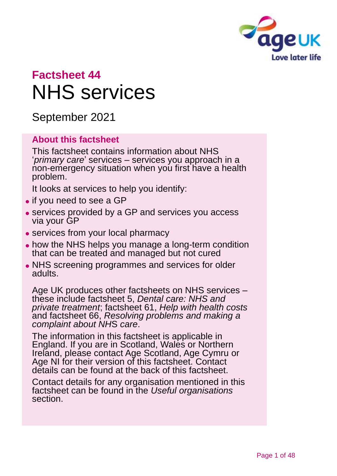

# **Factsheet 44** NHS services

September 2021

#### **About this factsheet**

This factsheet contains information about NHS '*primary care*' services – services you approach in a non-emergency situation when you first have a health problem.

It looks at services to help you identify:

- if you need to see a GP
- ⚫ services provided by a GP and services you access via your GP
- services from your local pharmacy
- how the NHS helps you manage a long-term condition that can be treated and managed but not cured
- ⚫ NHS screening programmes and services for older adults.

Age UK produces other factsheets on NHS services – these include factsheet 5, *[Dental care: NHS and](https://www.ageuk.org.uk/globalassets/age-uk/documents/factsheets/fs5_dental_care_nhs_and_private_treatment_fcs.pdf)  [private treatment](https://www.ageuk.org.uk/globalassets/age-uk/documents/factsheets/fs5_dental_care_nhs_and_private_treatment_fcs.pdf)*; factsheet 61, *[Help with health costs](https://www.ageuk.org.uk/globalassets/age-uk/documents/factsheets/fs61_help_with_health_costs_fcs.pdf)* and factsheet 66, *[Resolving problems and making a](https://www.ageuk.org.uk/globalassets/age-uk/documents/factsheets/fs66_resolving_problems_and_making_a_complaint_about_nhs_care_fcs.pdf)  [complaint about NH](https://www.ageuk.org.uk/globalassets/age-uk/documents/factsheets/fs66_resolving_problems_and_making_a_complaint_about_nhs_care_fcs.pdf)*S *care*.

The information in this factsheet is applicable in England. If you are in Scotland, Wales or Northern Ireland, please contact [Age Scotland, Age Cymru or](#page-46-0)  [Age NI](#page-46-0) for their version of this factsheet. Contact details can be found at the back of this factsheet.

Contact details for any organisation mentioned in this factsheet can be found in the *[Useful organisations](#page-42-0)* section.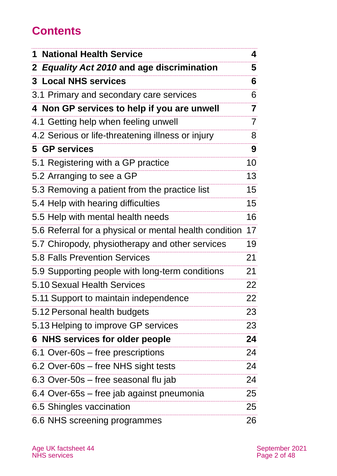# **Contents**

| <b>National Health Service</b><br>1                    | 4              |
|--------------------------------------------------------|----------------|
| 2 Equality Act 2010 and age discrimination             | 5              |
| <b>3 Local NHS services</b>                            | 6              |
| 3.1 Primary and secondary care services                | 6              |
| 4 Non GP services to help if you are unwell            | 7              |
| 4.1 Getting help when feeling unwell                   | $\overline{7}$ |
| 4.2 Serious or life-threatening illness or injury      | 8              |
| 5 GP services                                          | 9              |
| 5.1 Registering with a GP practice                     | 10             |
| 5.2 Arranging to see a GP                              | 13             |
| 5.3 Removing a patient from the practice list          | 15             |
| 5.4 Help with hearing difficulties                     | 15             |
| 5.5 Help with mental health needs                      | 16             |
| 5.6 Referral for a physical or mental health condition | 17             |
| 5.7 Chiropody, physiotherapy and other services        | 19             |
| <b>5.8 Falls Prevention Services</b>                   | 21             |
| 5.9 Supporting people with long-term conditions        | 21             |
| 5.10 Sexual Health Services                            | 22             |
| 5.11 Support to maintain independence                  | 22             |
| 5.12 Personal health budgets                           | 23             |
| 5.13 Helping to improve GP services                    | 23             |
| 6 NHS services for older people                        | 24             |
| 6.1 Over-60s – free prescriptions                      | 24             |
| 6.2 Over-60s – free NHS sight tests                    | 24             |
| 6.3 Over-50s – free seasonal flu jab                   | 24             |
| 6.4 Over-65s – free jab against pneumonia              | 25             |
| 6.5 Shingles vaccination                               | 25             |
| 6.6 NHS screening programmes                           | 26             |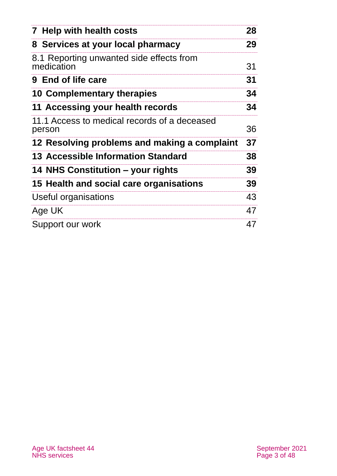| 7 Help with health costs                               | 28 |
|--------------------------------------------------------|----|
| 8 Services at your local pharmacy                      | 29 |
| 8.1 Reporting unwanted side effects from<br>medication | 31 |
| 9 End of life care                                     | 31 |
| 10 Complementary therapies                             | 34 |
| 11 Accessing your health records                       | 34 |
| 11.1 Access to medical records of a deceased<br>person | 36 |
| 12 Resolving problems and making a complaint           | 37 |
| 13 Accessible Information Standard                     | 38 |
| 14 NHS Constitution – your rights                      | 39 |
| 15 Health and social care organisations                | 39 |
| Useful organisations                                   | 43 |
| Age UK                                                 | 47 |
| Support our work                                       | 47 |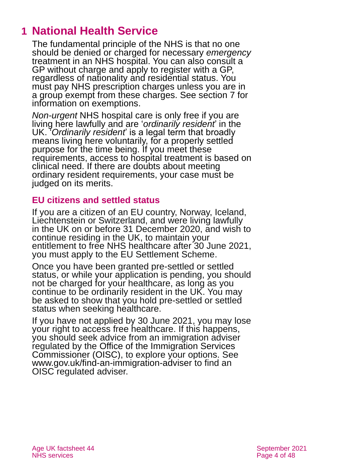# <span id="page-3-0"></span>**1 National Health Service**

The fundamental principle of the NHS is that no one should be denied or charged for necessary *emergency* treatment in an NHS hospital. [You can also consult a](https://www.nhs.uk/using-the-nhs/nhs-services/gps/how-to-register-with-a-gp-practice/)  [GP without charge and apply to register with](https://www.nhs.uk/using-the-nhs/nhs-services/gps/how-to-register-with-a-gp-practice/) a GP, [regardless of nationality and residential status.](https://www.nhs.uk/using-the-nhs/nhs-services/gps/how-to-register-with-a-gp-practice/) You must pay NHS prescription charges unless you are in a group exempt from these charges. See [section 7](#page-27-0) for [information on exemptions.](#page-27-0)

*Non-urgent* NHS hospital care is only free if you are living here lawfully and are '*ordinarily resident*' in the UK. <sup>7</sup> Ordinarily resident is a legal term that broadly means living here voluntarily, for a properly settled purpose for the time being. If you meet these requirements, access to hospital treatment is based on clinical need. If there are doubts about meeting ordinary resident requirements, your case must be judged on its merits.

#### **EU citizens and settled status**

If you are a citizen of an EU country, Norway, Iceland, Liechtenstein or Switzerland, and were living lawfully in the UK on or before 31 December 2020, and wish to continue residing in the UK, to maintain your entitlement to free NHS healthcare after 30 June 2021, you must apply to the EU Settlement Scheme.

Once you have been granted pre-settled or settled status, or while your application is pending, you should not be charged for your healthcare, as long as you continue to be ordinarily resident in the UK. You may be asked to show that you hold pre-settled or settled status when seeking healthcare.

If you have not applied by 30 June 2021, you may lose your right to access free healthcare. If this happens, you should seek advice from an immigration adviser regulated by the [Office of the Immigration Services](https://www.gov.uk/find-an-immigration-adviser)  [Commissioner \(OISC\),](https://www.gov.uk/find-an-immigration-adviser) to explore your options. See [www.gov.uk/find-an-immigration-adviser](http://www.gov.uk/find-an-immigration-adviser) to find an OISC regulated adviser.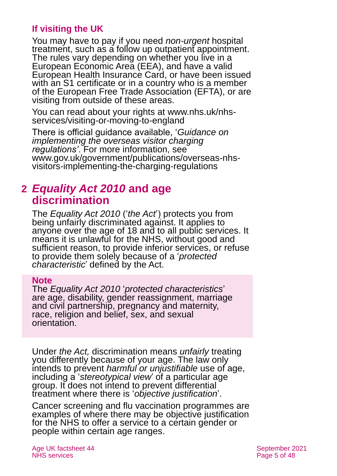#### **If visiting the UK**

You may have to pay if you need *non-urgent* hospital treatment, such as a follow up outpatient appointment. The rules vary depending on whether you live in a European Economic Area (EEA), and have a valid European Health Insurance Card, or have been issued with an S1 certificate or in a country who is a member of the European Free Trade Association (EFTA), or are visiting from outside of these areas.

You can read about your rights at [www.nhs.uk/nhs](http://www.nhs.uk/nhs-services/visiting-or-moving-to-england)[services/visiting-or-moving-to-england](http://www.nhs.uk/nhs-services/visiting-or-moving-to-england)

There is official guidance available, '*Guidance on implementing the overseas visitor charging regulations'*. For more information, see [www.gov.uk/government/publications/overseas-nhs](https://www.gov.uk/government/publications/overseas-nhs-visitors-implementing-the-charging-regulations)[visitors-implementing-the-charging-regulations](https://www.gov.uk/government/publications/overseas-nhs-visitors-implementing-the-charging-regulations)

### <span id="page-4-0"></span>**2** *Equality Act 2010* **and age discrimination**

The *[Equality Act 2010](https://www.legislation.gov.uk/ukpga/2010/15/contents)* ('*the Act*') protects you from being unfairly discriminated against. It applies to anyone over the age of 18 and to all public services. It means it is unlawful for the NHS, without good and sufficient reason, to provide inferior services, or refuse to provide them solely because of a '*protected characteristic*' defined by the Act.

#### **Note**

The *Equality Act 2010* '*protected characteristics*' are age, disability, gender reassignment, marriage and civil partnership, pregnancy and maternity, race, religion and belief, sex, and sexual orientation.

Under *the Act,* discrimination means *unfairly* treating you differently because of your age. The law only intends to prevent *harmful or unjustifiable* use of age, including a '*stereotypical view*' of a particular age group. It does not intend to prevent differential treatment where there is '*objective justification*'.

Cancer screening and flu vaccination programmes are examples of where there may be objective justification for the NHS to offer a service to a certain gender or people within certain age ranges.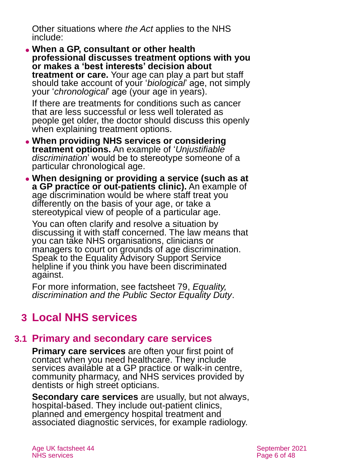Other situations where *the Act* applies to the NHS include:

⚫ **When a GP, consultant or other health professional discusses treatment options with you or makes a 'best interests' decision about treatment or care.** Your age can play a part but staff should take account of your '*biological*' age, not simply your '*chronological*' age (your age in years).

If there are treatments for conditions such as cancer that are less successful or less well tolerated as people get older, the doctor should discuss this openly when explaining treatment options.

- ⚫ **When providing NHS services or considering treatment options.** An example of '*Unjustifiable discrimination*' would be to stereotype someone of a particular chronological age.
- ⚫ **When designing or providing a service (such as at a GP practice or out-patients clinic).** An example of age discrimination would be where staff treat you differently on the basis of your age, or take a stereotypical view of people of a particular age.

You can often clarify and resolve a situation by discussing it with staff concerned. The law means that you can take NHS organisations, clinicians or managers to court on grounds of age discrimination. Speak to the [Equality Advisory Support Service](https://www.equalityadvisoryservice.com/) helpline if you think you have been discriminated against.

For more information, see factsheet 79, *[Equality,](https://www.ageuk.org.uk/globalassets/age-uk/documents/factsheets/fs79_equality_discrimination_and_the_public_sector_equality_duty_fcs.pdf)  [discrimination and the Public Sector Equality Duty](https://www.ageuk.org.uk/globalassets/age-uk/documents/factsheets/fs79_equality_discrimination_and_the_public_sector_equality_duty_fcs.pdf)*.

# <span id="page-5-0"></span>**3 Local NHS services**

### **3.1 Primary and secondary care services**

**Primary care services** are often your first point of contact when you need healthcare. They include services available at a GP practice or walk-in centre, community pharmacy, and NHS services provided by dentists or high street opticians.

**Secondary care services** are usually, but not always, hospital-based. They include out-patient clinics, planned and emergency hospital treatment and associated diagnostic services, for example radiology.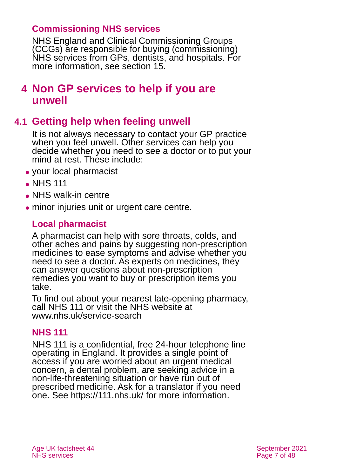#### **Commissioning NHS services**

NHS England and Clinical Commissioning Groups (CCGs) are responsible for buying (commissioning) NHS services from GPs, dentists, and hospitals. For more information, see [section 15.](#page-38-1)

### <span id="page-6-0"></span>**4 Non GP services to help if you are unwell**

### **4.1 Getting help when feeling unwell**

It is not always necessary to contact your GP practice when you feel unwell. Other services can help you decide whether you need to see a doctor or to put your mind at rest. These include:

- your local pharmacist
- NHS 111
- ⚫ NHS walk-in centre
- ⚫ minor injuries unit or urgent care centre.

### **Local pharmacist**

A pharmacist can help with sore throats, colds, and other aches and pains by suggesting non-prescription medicines to ease symptoms and advise whether you need to see a doctor. As experts on medicines, they can answer questions about non-prescription remedies you want to buy or prescription items you take.

To find out about your nearest late-opening pharmacy, call NHS 111 or visit the NHS website at [www.nhs.uk/service-search](http://www.nhs.uk/service-search)

#### **NHS 111**

NHS 111 is a confidential, free 24-hour telephone line operating in England. It provides a single point of access if you are worried about an urgent medical concern, a dental problem, are seeking advice in a non-life-threatening situation or have run out of prescribed medicine. Ask for a translator if you need one. See<https://111.nhs.uk/> for more information.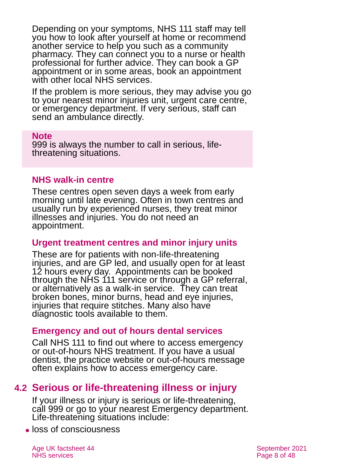Depending on your symptoms, NHS 111 staff may tell you how to look after yourself at home or recommend another service to help you such as a community pharmacy. They can connect you to a nurse or health professional for further advice. They can book a GP appointment or in some areas, book an appointment with other local NHS services.

If the problem is more serious, they may advise you go to your nearest minor injuries unit, urgent care centre, or emergency department. If very serious, staff can send an ambulance directly.

#### **Note**

999 is always the number to call in serious, lifethreatening situations.

#### **NHS walk-in centre**

These centres open seven days a week from early morning until late evening. Often in town centres and usually run by experienced nurses, they treat minor illnesses and injuries. You do not need an appointment.

#### **Urgent treatment centres and minor injury units**

These are for patients with non-life-threatening injuries, and are GP led, and usually open for at least 12 hours every day. Appointments can be booked through the NHS 111 service or through a GP referral, or alternatively as a walk-in service. They can treat broken bones, minor burns, head and eye injuries, injuries that require stitches. Many also have diagnostic tools available to them.

#### **Emergency and out of hours dental services**

Call NHS 111 to find out where to access emergency or out-of-hours NHS treatment. If you have a usual dentist, the practice website or out-of-hours message often explains how to access emergency care.

### **4.2 Serious or life-threatening illness or injury**

If your illness or injury is serious or life-threatening, call 999 or go to your nearest Emergency department. Life-threatening situations include:

⚫ loss of consciousness

Age UK factsheet 44 September 2021 NHS services **Page 8 of 48**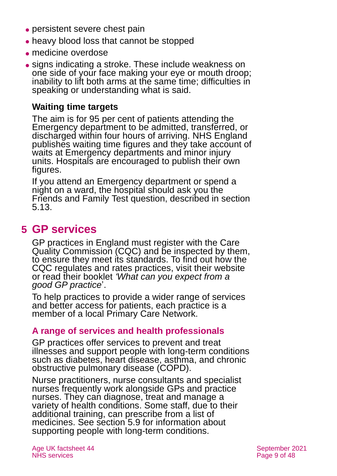- persistent severe chest pain
- heavy blood loss that cannot be stopped
- ⚫ medicine overdose
- signs indicating a stroke. These include weakness on one side of your face making your eye or mouth droop; inability to lift both arms at the same time; difficulties in speaking or understanding what is said.

#### **Waiting time targets**

The aim is for 95 per cent of patients attending the Emergency department to be admitted, transferred, or discharged within four hours of arriving. NHS England publishes [waiting time](https://www.england.nhs.uk/statistics/statistical-work-areas/ae-waiting-times-and-activity/) figures and they take account of waits at Emergency departments and minor injury units. Hospitals are encouraged to publish their own figures.

If you attend an Emergency department or spend a night on a ward, the hospital should ask you the Friends and Family Test question, described in [section](#page-22-0)  [5.13.](#page-22-0)

# <span id="page-8-0"></span>**5 GP services**

GP practices in England must register with the Care Quality Commission (CQC) and be inspected by them, to ensure they meet its standards. To find out how the CQC regulates and rates practices, visit their website or read their booklet *['What can you](http://www.cqc.org.uk/sites/default/files/20160222_CQC_Good_GP_leaflet_FINAL.pdf) expect from a good [GP practice](http://www.cqc.org.uk/sites/default/files/20160222_CQC_Good_GP_leaflet_FINAL.pdf)*'.

To help practices to provide a wider range of services and better access for patients, each practice is a member of a local Primary Care Network.

#### **A range of services and health professionals**

GP practices offer services to prevent and treat illnesses and support people with long-term conditions such as diabetes, heart disease, asthma, and chronic obstructive pulmonary disease (COPD).

Nurse practitioners, nurse consultants and specialist nurses frequently work alongside GPs and practice nurses. They can diagnose, treat and manage a variety of health conditions. Some staff, due to their additional training, can prescribe from a list of medicines. See [section 5.9](#page-20-0) for information about supporting people with long-term conditions.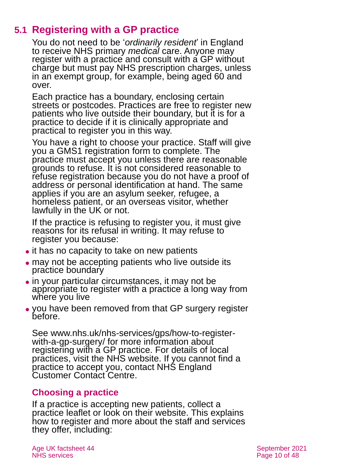### **5.1 Registering with a GP practice**

[You do not need to be '](https://www.nhs.uk/using-the-nhs/nhs-services/gps/how-to-register-with-a-gp-practice/)*ordinarily resident*' in England to receive [NHS primary](https://www.nhs.uk/using-the-nhs/nhs-services/gps/how-to-register-with-a-gp-practice/) *medical* care. Anyone may [register with a practice and consult with a GP without](https://www.nhs.uk/using-the-nhs/nhs-services/gps/how-to-register-with-a-gp-practice/)  charge [but must pay NHS prescription charges, unless](https://www.nhs.uk/using-the-nhs/nhs-services/gps/how-to-register-with-a-gp-practice/)  [in an exempt group,](https://www.nhs.uk/using-the-nhs/nhs-services/gps/how-to-register-with-a-gp-practice/) for example, being aged 60 and [over.](https://www.nhs.uk/using-the-nhs/nhs-services/gps/how-to-register-with-a-gp-practice/)

Each practice has a boundary, enclosing certain streets or postcodes. Practices are free to register new patients who live outside their boundary, but it is for a practice to decide if it is clinically appropriate and practical to register you in this way.

You have a right to choose your practice. Staff will give you a [GMS1 registration form](https://www.gov.uk/government/publications/gms1) to complete. The practice must accept you unless there are reasonable grounds to refuse. It is not considered reasonable to refuse registration because you do not have a proof of address or personal identification at hand. The same applies if you are an asylum seeker, refugee, a homeless patient, or an overseas visitor, whether lawfully in the UK or not.

If the practice is refusing to register you, it must give reasons for its refusal in writing. It may refuse to register you because:

- it has no capacity to take on new patients
- may not be accepting patients who live outside its practice boundary
- ⚫ in your particular circumstances, it may not be appropriate to register with a practice a long way from where you live
- ⚫ you have been removed from that GP surgery register before.

See [www.nhs.uk/nhs-services/gps/how-to-register](http://www.nhs.uk/nhs-services/gps/how-to-register-with-a-gp-surgery/)[with-a-gp-surgery/](http://www.nhs.uk/nhs-services/gps/how-to-register-with-a-gp-surgery/) for more information about registering with a GP practice. For details of local practices, visit the [NHS website.](http://www.nhs.uk/) If you cannot find a practice to accept you, contact NHS England Customer Contact Centre.

### **Choosing a practice**

If a practice is accepting new patients, collect a practice leaflet or look on their website. This explains how to register and more about the staff and services they offer, including: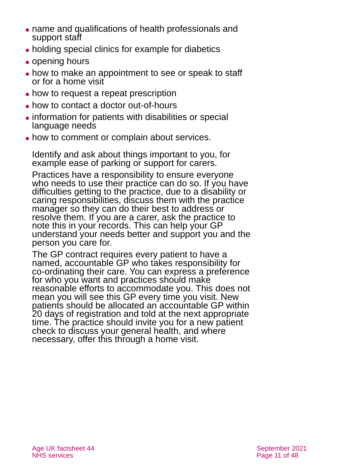- ⚫ name and qualifications of health professionals and support staff
- ⚫ holding special clinics for example for diabetics
- opening hours
- how to make an appointment to see or speak to staff or for a home visit
- how to request a repeat prescription
- ⚫ how to contact a doctor out-of-hours
- ⚫ information for patients with disabilities or special language needs
- how to comment or complain about services.

Identify and ask about things important to you, for example ease of parking or support for carers.

Practices have a responsibility to ensure everyone who needs to use their practice can do so. If you have difficulties getting to the practice, due to a disability or caring responsibilities, discuss them with the practice manager so they can do their best to address or resolve them. If you are a carer, ask the practice to note this in your records. This can help your GP understand your needs better and support you and the person you care for.

The GP contract requires every patient to have a named, accountable GP who takes responsibility for co-ordinating their care. You can express a preference for who you want and practices should make reasonable efforts to accommodate you. This does not mean you will see this GP every time you visit. New patients should be allocated an accountable GP within 20 days of registration and told at the next appropriate time. The practice should invite you for a new patient check to discuss your general health, and where necessary, offer this through a home visit.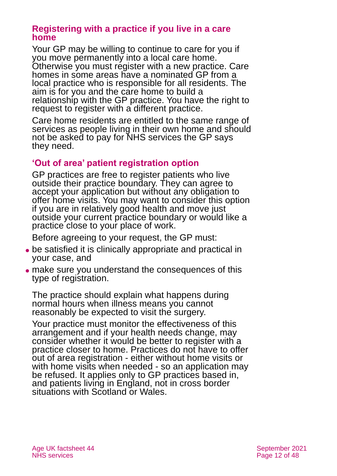#### **Registering with a practice if you live in a care home**

Your GP may be willing to continue to care for you if you move permanently into a local care home. Otherwise you must register with a new practice. Care homes in some areas have a nominated GP from a local practice who is responsible for all residents. The aim is for you and the care home to build a relationship with the GP practice. You have the right to request to register with a different practice.

Care home residents are entitled to the same range of services as people living in their own home and should not be asked to pay for NHS services the GP says they need.

#### **'Out of area' patient registration option**

GP practices are free to register patients who live outside their practice boundary. They can agree to accept your application but without any obligation to offer home visits. You may want to consider this option if you are in relatively good health and move just outside your current practice boundary or would like a practice close to your place of work.

Before agreeing to your request, the GP must:

- be satisfied it is clinically appropriate and practical in your case, and
- ⚫ make sure you understand the consequences of this type of registration.

The practice should explain what happens during normal hours when illness means you cannot reasonably be expected to visit the surgery.

Your practice must monitor the effectiveness of this arrangement and if your health needs change, may consider whether it would be better to register with a practice closer to home. Practices do not have to offer out of area registration - either without home visits or with home visits when needed - so an application may be refused. It applies only to GP practices based in, and patients living in England, not in cross border situations with Scotland or Wales.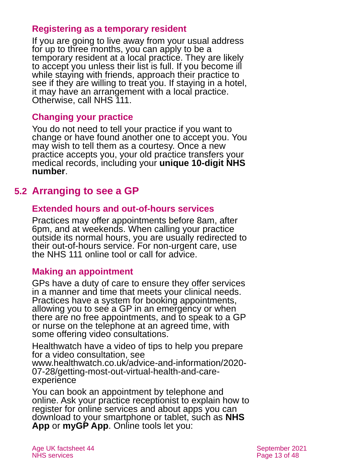#### **Registering as a temporary resident**

If you are going to live away from your usual address for up to three months, you can apply to be a temporary resident at a local practice. They are likely to accept you unless their list is full. If you become ill while staying with friends, approach their practice to see if they are willing to treat you. If staying in a hotel, it may have an arrangement with a local practice. Otherwise, call NHS 111.

#### **Changing your practice**

You do not need to tell your practice if you want to change or have found another one to accept you. You may wish to tell them as a courtesy. Once a new practice accepts you, your old practice transfers your medical records, including your **unique 10-digit NHS number**.

### **5.2 Arranging to see a GP**

#### **Extended hours and out-of-hours services**

Practices may offer appointments before 8am, after 6pm, and at weekends. When calling your practice outside its normal hours, you are usually redirected to their out-of-hours service. For non-urgent care, use the NHS 111 online tool or call for advice.

#### **Making an appointment**

GPs have a duty of care to ensure they offer services in a manner and time that meets your clinical needs. Practices have a system for booking appointments, allowing you to see a GP in an emergency or when there are no free appointments, and to speak to a GP or nurse on the telephone at an agreed time, with some offering video consultations.

Healthwatch have a video of tips to help you prepare for a video consultation, see [www.healthwatch.co.uk/advice-and-information/2020-](http://www.healthwatch.co.uk/advice-and-information/2020-07-28/getting-most-out-virtual-health-and-care-experience) [07-28/getting-most-out-virtual-health-and-care](http://www.healthwatch.co.uk/advice-and-information/2020-07-28/getting-most-out-virtual-health-and-care-experience)[experience](http://www.healthwatch.co.uk/advice-and-information/2020-07-28/getting-most-out-virtual-health-and-care-experience)

You can book an appointment by telephone and online. Ask your practice receptionist to explain how to register for online services and about apps you can download to your smartphone or tablet, such as **[NHS](https://www.nhs.uk/using-the-nhs/nhs-services/the-nhs-app/)  [App](https://www.nhs.uk/using-the-nhs/nhs-services/the-nhs-app/)** or **[myGP App](https://www.nhs.uk/apps-library/mygp/)**. Online tools let you: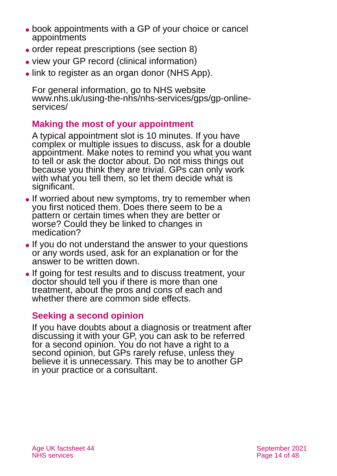- book appointments with a GP of your choice or cancel appointments
- ⚫ order repeat prescriptions (see [section 8\)](#page-28-0)
- ⚫ view your GP record (clinical information)
- ⚫ link to register as an organ donor (NHS App).

For general information, go to NHS website [www.nhs.uk/using-the-nhs/nhs-services/gps/gp-online](http://www.nhs.uk/using-the-nhs/nhs-services/gps/gp-online-services/)[services/](http://www.nhs.uk/using-the-nhs/nhs-services/gps/gp-online-services/)

#### **Making the most of your appointment**

A typical appointment slot is 10 minutes. If you have complex or multiple issues to discuss, ask for a double appointment. Make notes to remind you what you want to tell or ask the doctor about. Do not miss things out because you think they are trivial. GPs can only work with what you tell them, so let them decide what is significant.

- If worried about new symptoms, try to remember when you first noticed them. Does there seem to be a pattern or certain times when they are better or worse? Could they be linked to changes in medication?
- If you do not understand the answer to your questions or any words used, ask for an explanation or for the answer to be written down.
- ⚫ If going for test results and to discuss treatment, your doctor should tell you if there is more than one treatment, about the pros and cons of each and whether there are common side effects.

#### **Seeking a second opinion**

If you have doubts about a diagnosis or treatment after discussing it with your GP, you can ask to be referred for a second opinion. You do not have a right to a second opinion, but GPs rarely refuse, unless they believe it is unnecessary. This may be to another GP in your practice or a consultant.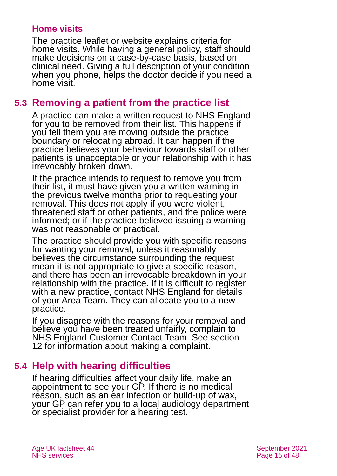#### **Home visits**

The practice leaflet or website explains criteria for home visits. While having a general policy, staff should make decisions on a case-by-case basis, based on clinical need. Giving a full description of your condition when you phone, helps the doctor decide if you need a home visit.

### **5.3 Removing a patient from the practice list**

A practice can make a written request to NHS England for you to be removed from their list. This happens if you tell them you are moving outside the practice boundary or relocating abroad. It can happen if the practice believes your behaviour towards staff or other patients is unacceptable or your relationship with it has irrevocably broken down.

If the practice intends to request to remove you from their list, it must have given you a written warning in the previous twelve months prior to requesting your removal. This does not apply if you were violent, threatened staff or other patients, and the police were informed; or if the practice believed issuing a warning was not reasonable or practical.

The practice should provide you with specific reasons for wanting your removal, unless it reasonably believes the circumstance surrounding the request mean it is not appropriate to give a specific reason, and there has been an irrevocable breakdown in your relationship with the practice. If it is difficult to register with a new practice, contact NHS England for [details](https://www.nhs.uk/service-search/Area-Team/LocationSearch/1839)  [of your Area Team.](https://www.nhs.uk/service-search/Area-Team/LocationSearch/1839) They can allocate you to a new practice.

If you disagree with the reasons for your removal and believe you have been treated unfairly, complain to NHS England Customer Contact Team. See [section](#page-36-0)  [12](#page-36-0) for information about making a complaint.

### **5.4 Help with hearing difficulties**

If hearing difficulties affect your daily life, make an appointment to see your GP. If there is no medical reason, such as an ear infection or build-up of wax, your GP can refer you to a local audiology department or specialist provider for a hearing test.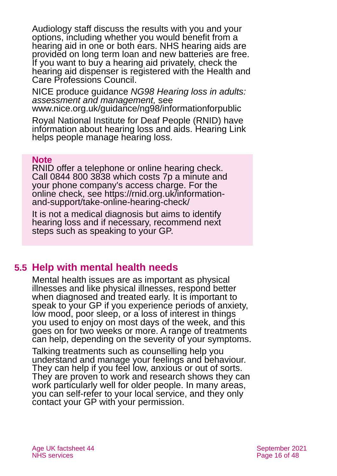Audiology staff discuss the results with you and your options, including whether you would benefit from a hearing aid in one or both ears. NHS hearing aids are provided on long term loan and new batteries are free. If you want to buy a hearing aid privately, check the hearing aid dispenser is registered with the Health and [Care Professions Council.](https://www.hcpc-uk.org/)

NICE produce guidance *NG98 Hearing loss in adults: assessment and management,* see [www.nice.org.uk/guidance/ng98/informationforpublic](http://www.nice.org.uk/guidance/ng98/informationforpublic)

[Royal National Institute for Deaf People \(RNID\)](https://rnid.org.uk/) have information about hearing loss and aids. [Hearing Link](http://www.hearinglink.org/) helps people manage hearing loss.

#### **Note**

RNID offer a telephone or online hearing check. Call 0844 800 3838 which costs 7p a minute and your phone company's access charge. For the online check, see [https://rnid.org.uk/information](https://rnid.org.uk/information-and-support/take-online-hearing-check/)[and-support/take-online-hearing-check/](https://rnid.org.uk/information-and-support/take-online-hearing-check/)

It is not a medical diagnosis but aims to identify hearing loss and if necessary, recommend next steps such as speaking to your GP.

### **5.5 Help with mental health needs**

Mental health issues are as important as physical illnesses and like physical illnesses, respond better when diagnosed and treated early. It is important to speak to your GP if you experience periods of anxiety, low mood, poor sleep, or a loss of interest in things you used to enjoy on most days of the week, and this goes on for two weeks or more. A range of treatments can help, depending on the severity of your symptoms.

[Talking treatments](https://www.nhs.uk/conditions/stress-anxiety-depression/free-therapy-or-counselling/) such as counselling help you understand and manage your feelings and behaviour. They can help if you feel low, anxious or out of sorts. They are proven to work and research shows they can work particularly well for older people. In many areas, you can self-refer to your local service, and they only contact your GP with your permission.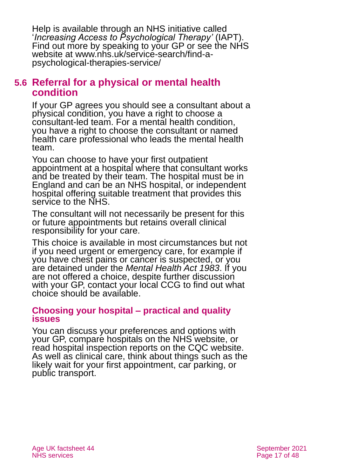Help is available through an NHS initiative called '*[Increasing Access to Psychological Therapy'](https://www.england.nhs.uk/mental-health/adults/iapt/)* (IAPT). Find out more by speaking to your GP or see the NHS website at [www.nhs.uk/service-search/find-a](http://www.nhs.uk/service-search/find-a-psychological-therapies-service/)[psychological-therapies-service/](http://www.nhs.uk/service-search/find-a-psychological-therapies-service/)

#### **5.6 Referral for a physical or mental health condition**

If your GP agrees you should see a consultant about a physical condition, you have a right to choose a consultant-led team. For a mental health condition, you have a right to choose the consultant or named health care professional who leads the mental health team.

You can choose to have your first outpatient appointment at a hospital where that consultant works and be treated by their team. The hospital must be in England and can be an NHS hospital, or independent hospital offering suitable treatment that provides this service to the NHS.

The consultant will not necessarily be present for this or future appointments but retains overall clinical responsibility for your care.

This choice is available in most circumstances but not if you need urgent or emergency care, for example if you have chest pains or cancer is suspected, or you are detained under the *Mental Health Act 1983*. If you are not offered a choice, despite further discussion with your GP, contact your local CCG to find out what choice should be available.

#### **Choosing your hospital – practical and quality issues**

You can discuss your preferences and options with your GP, compare hospitals on the NHS website, or read hospital inspection reports on the CQC [website.](http://www.cqc.org.uk/content/help-advice) As well as clinical care, think about things such as the likely wait for your first appointment, car parking, or public transport.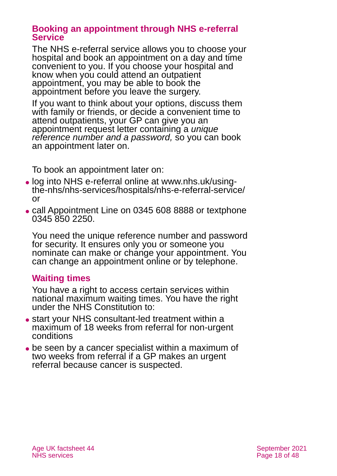#### **Booking an appointment through NHS e-referral Service**

The NHS e-referral service allows you to choose your hospital and book an appointment on a day and time convenient to you. If you choose your hospital and know when you could attend an outpatient appointment, you may be able to book the appointment before you leave the surgery.

If you want to think about your options, discuss them with family or friends, or decide a convenient time to attend outpatients, your GP can give you an appointment request letter containing a *unique reference number and a password,* so you can book an appointment later on.

To book an appointment later on:

- ⚫ log into NHS e-referral online at [www.nhs.uk/using](http://www.nhs.uk/using-the-nhs/nhs-services/hospitals/nhs-e-referral-service/)[the-nhs/nhs-services/hospitals/nhs-e-referral-service/](http://www.nhs.uk/using-the-nhs/nhs-services/hospitals/nhs-e-referral-service/) or
- ⚫ call Appointment Line on 0345 608 8888 or textphone 0345 850 2250.

You need the unique reference number and password for security. It ensures only you or someone you nominate can make or change your appointment. You can change an appointment online or by telephone.

#### **Waiting times**

You have a right to access certain services within national maximum waiting times. You have the right under the NHS Constitution to:

- ⚫ start your NHS consultant-led treatment within a maximum of 18 weeks from referral for non-urgent conditions
- be seen by a cancer specialist within a maximum of two weeks from referral if a GP makes an urgent referral because cancer is suspected.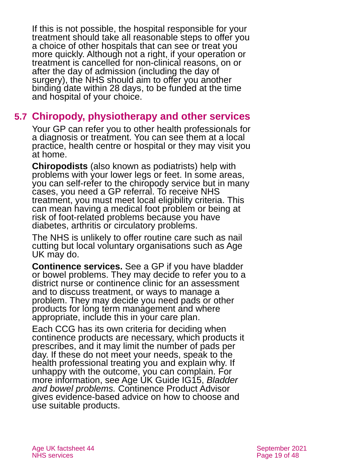If this is not possible, the hospital responsible for your treatment should take all reasonable steps to offer you a choice of other hospitals that can see or treat you more quickly. Although not a right, if your operation or treatment is cancelled for non-clinical reasons, on or after the day of admission (including the day of surgery), the NHS should aim to offer you another binding date within 28 days, to be funded at the time and hospital of your choice.

### **5.7 Chiropody, physiotherapy and other services**

Your GP can refer you to other health professionals for a diagnosis or treatment. You can see them at a local practice, health centre or hospital or they may visit you at home.

**Chiropodists** (also known as podiatrists) help with problems with your lower legs or feet. In some areas, you can self-refer to the chiropody service but in many cases, you need a GP referral. To receive NHS treatment, you must meet local eligibility criteria. This can mean having a medical foot problem or being at risk of foot-related problems because you have diabetes, arthritis or circulatory problems.

The NHS is unlikely to offer routine care such as nail cutting but local voluntary organisations such as Age UK may do.

**Continence services.** See a GP if you have bladder or bowel problems. They may decide to refer you to a district nurse or continence clinic for an assessment and to discuss treatment, or ways to manage a problem. They may decide you [need pads or other](https://www.nhs.uk/common-health-questions/nhs-services-and-treatments/can-i-get-incontinence-products-on-the-nhs/)  [products](https://www.nhs.uk/common-health-questions/nhs-services-and-treatments/can-i-get-incontinence-products-on-the-nhs/) for long term management and where appropriate, include this in your care plan.

Each CCG has its own criteria for deciding when continence products are necessary, which products it prescribes, and it may limit the number of pads per day. If these do not meet your needs, speak to the health professional treating you and explain why. If unhappy with the outcome, you can complain. For more information, see [Age UK Guide IG15,](https://www.ageuk.org.uk/globalassets/age-uk/documents/information-guides/ageukig15_managing_incontinence.inf.pdf) *Bladder [and bowel problems.](https://www.ageuk.org.uk/globalassets/age-uk/documents/information-guides/ageukig15_managing_incontinence.inf.pdf)* [Continence Product Advisor](https://www.continenceproductadvisor.org/) gives evidence-based advice on how to choose and use suitable products.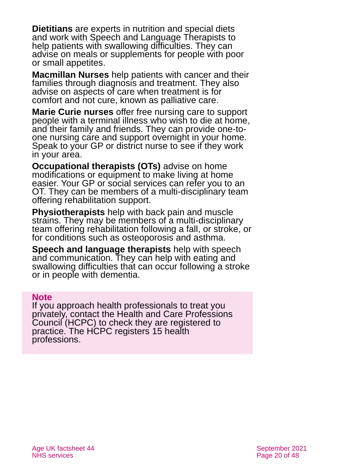**Dietitians** are experts in nutrition and special diets and work with Speech and Language Therapists to help patients with swallowing difficulties. They can advise on meals or supplements for people with poor or small appetites.

**[Macmillan Nurses](https://www.macmillan.org.uk/information-and-support/coping/getting-support/macmillan-nurses.html)** help patients with cancer and their families through diagnosis and treatment. They also advise on aspects of care when treatment is for comfort and not cure, known as palliative care.

**[Marie Curie nurses](https://www.mariecurie.org.uk/help/nursing-services)** offer free nursing care to support people with a terminal illness who wish to die at home, and their family and friends. They can provide one-toone nursing care and support overnight in your home. Speak to your GP or district nurse to see if they work in your area.

**Occupational therapists (OTs)** advise on home modifications or equipment to make living at home easier. Your GP or social services can refer you to an OT. They can be members of a multi-disciplinary team offering rehabilitation support.

**Physiotherapists** help with back pain and muscle strains. They may be members of a multi-disciplinary team offering rehabilitation following a fall, or stroke, or for conditions such as osteoporosis and asthma.

**Speech and language therapists** help with speech and communication. They can help with eating and swallowing difficulties that can occur following a stroke or in people with dementia.

#### **Note**

If you approach health professionals to treat you privately, contact the [Health and Care Professions](http://www.hpc-uk.org/)  [Council \(HCPC\)](http://www.hpc-uk.org/) to check they are registered to practice. The HCPC registers 15 health professions.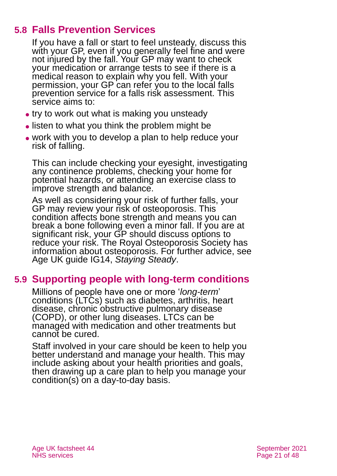### **5.8 Falls Prevention Services**

If you have a fall or start to feel unsteady, discuss this with your GP, even if you generally feel fine and were not injured by the fall. Your GP may want to check your medication or arrange tests to see if there is a medical reason to explain why you fell. With your permission, your GP can refer you to the local falls prevention service for a falls risk assessment. This service aims to:

- try to work out what is making you unsteady
- listen to what you think the problem might be
- ⚫ work with you to develop a plan to help reduce your risk of falling.

This can include checking your eyesight, investigating any continence problems, checking your home for potential hazards, or attending an exercise class to improve strength and balance.

As well as considering your risk of further falls, your GP may review your risk of osteoporosis. This condition affects bone strength and means you can break a bone following even a minor fall. If you are at significant risk, your GP should discuss options to reduce your risk. The [Royal Osteoporosis Society](https://theros.org.uk/) has information about osteoporosis. For further advice, see [Age UK guide IG14,](https://www.ageuk.org.uk/globalassets/age-uk/documents/information-guides/ageukig14_staying_steady_inf.pdf) *Staying Steady*.

### <span id="page-20-0"></span>**5.9 Supporting people with long-term conditions**

Millions of people have one or more '*long-term*' conditions (LTCs) such as diabetes, arthritis, heart disease, chronic obstructive pulmonary disease (COPD), or other lung diseases. LTCs can be managed with medication and other treatments but cannot be cured.

Staff involved in your care should be keen to help you better understand and manage your health. This may include asking about your health priorities and goals, then drawing up a care plan to help you manage your condition(s) on a day-to-day basis.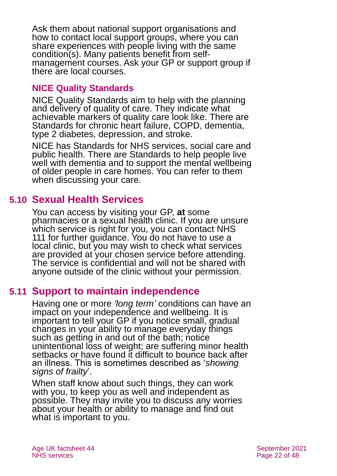Ask them about national support organisations and how to contact local support groups, where you can share experiences with people living with the same condition(s). Many patients benefit from selfmanagement courses. Ask your GP or support group if there are local courses.

#### **NICE Quality Standards**

NICE Quality Standards aim to help with the planning and delivery of quality of care. They indicate what achievable markers of quality care look like. There are Standards for chronic heart failure, COPD, dementia, type 2 diabetes, depression, and stroke.

NICE has Standards for NHS services, social care and public health. There are Standards to [help people live](https://www.nice.org.uk/guidance/qs30/informationforpublic) [well with dementia](https://www.nice.org.uk/guidance/qs30/informationforpublic) and to [support](https://www.nice.org.uk/guidance/qs50/ifp/chapter/Mental-wellbeing-of-older-people-in-care-homes) the mental wellbeing of older people in care homes. You can refer to them when discussing your care.

### **5.10 Sexual Health Services**

You can access by visiting your GP, **at** some pharmacies or a [sexual health clinic.](https://www.nhs.uk/nhs-services/sexual-health-services/guide-to-sexual-health-services/) If you are unsure which service is right for you, you can contact [NHS](https://111.nhs.uk/)  [111](https://111.nhs.uk/) for further guidance. You do not have to use a local clinic, but you may wish to check what services are provided at your chosen service before attending. The service is confidential and will not be shared with anyone outside of the clinic without your permission.

### **5.11 Support to maintain independence**

Having one or more *'long term'* conditions can have an impact on your independence and wellbeing. It is important to tell your GP if you notice small, gradual changes in your ability to manage everyday things such as getting in and out of the bath; notice unintentional loss of weight; are suffering minor health setbacks or have found it difficult to bounce back after an illness. This is sometimes described as '*showing signs of frailty*'.

When staff know about such things, they can work with you, to keep you as well and independent as possible. They may invite you to discuss any worries about your health or ability to manage and find out what is important to you.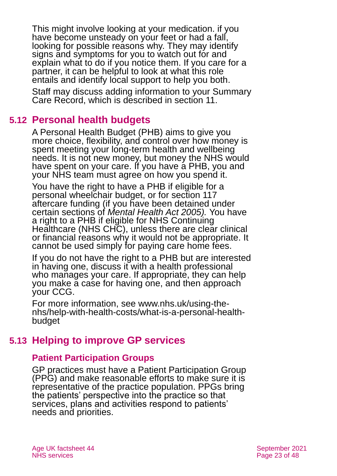This might involve looking at your medication. if you have become unsteady on your feet or had a fall, looking for possible reasons why. They may identify signs and symptoms for you to watch out for and explain what to do if you notice them. If you care for a partner, it can be helpful to look at what this role entails and identify local support to help you both.

Staff may discuss adding information to your Summary Care Record, which is described in [section 11.](#page-33-1)

### **5.12 Personal health budgets**

[A Personal Health Budget](https://www.england.nhs.uk/personal-health-budgets/) (PHB) aims to give you more choice, flexibility, and control over how money is spent meeting your long-term health and wellbeing needs. It is not new money, but money the NHS would have spent on your care. If you have a PHB, you and your NHS team must agree on how you spend it.

You have the right to have a PHB if eligible for a personal wheelchair budget, or for section 117 aftercare funding (if you have been detained under certain sections of *Mental Health Act 2005).* You have a right to a PHB if eligible for NHS Continuing Healthcare (NHS CHC), unless there are clear clinical or financial reasons why it would not be appropriate. It cannot be used simply for paying care home fees.

If you do not have the right to a PHB but are interested in having one, discuss it with a health professional who manages your care. If appropriate, they can help you make a case for having one, and then approach your CCG.

For more information, see [www.nhs.uk/using-the](http://www.nhs.uk/using-the-nhs/help-with-health-costs/what-is-a-personal-health-budget/)[nhs/help-with-health-costs/what-is-a-personal-health](http://www.nhs.uk/using-the-nhs/help-with-health-costs/what-is-a-personal-health-budget/)[budget](http://www.nhs.uk/using-the-nhs/help-with-health-costs/what-is-a-personal-health-budget/)

### <span id="page-22-0"></span>**5.13 Helping to improve GP services**

#### **Patient Participation Groups**

GP practices must have a Patient Participation Group (PPG) and make reasonable efforts to make sure it is representative of the practice population. PPGs bring the patients' perspective into the practice so that services, plans and activities respond to patients' needs and priorities.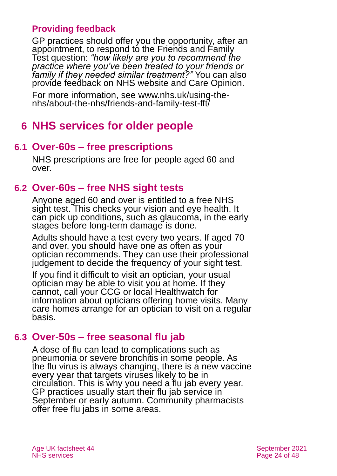#### **Providing feedback**

GP practices should offer you the opportunity, after an appointment, to respond to the Friends and Family Test question: *"how likely are you to recommend the practice where you've been treated to your friends or family if they needed similar treatment?"* You can also provide feedback on [NHS website](http://www.nhs.uk/) and [Care Opinion.](http://www.careopinion.org.uk/)

For more information, see [www.nhs.uk/using-the](http://www.nhs.uk/using-the-nhs/about-the-nhs/friends-and-family-test-fft/)[nhs/about-the-nhs/friends-and-family-test-fft/](http://www.nhs.uk/using-the-nhs/about-the-nhs/friends-and-family-test-fft/)

# <span id="page-23-0"></span>**6 NHS services for older people**

### **6.1 Over-60s – free prescriptions**

NHS prescriptions are free for people aged 60 and over.

### **6.2 Over-60s – free NHS sight tests**

Anyone aged 60 and over is entitled to a free NHS sight test. This checks your vision and eye health. It can pick up conditions, such as glaucoma, in the early stages before long-term damage is done.

Adults should have a test every two years. If aged 70 and over, you should have one as often as your optician recommends. They can use their professional judgement to decide the frequency of your sight test.

If you find it difficult to visit an optician, your usual optician may be able to visit you at home. If they cannot, call your CCG or local [Healthwatch](http://www.healthwatch.co.uk/) for information about opticians offering home visits. Many care homes arrange for an optician to visit on a regular basis.

### **6.3 Over-50s – free seasonal flu jab**

A dose of flu can lead to complications such as pneumonia or severe bronchitis in some people. As the flu virus is always changing, there is a new vaccine every year that targets viruses likely to be in circulation. This is why you need a flu jab every year. GP practices usually start their flu jab service in September or early autumn. Community pharmacists offer free flu jabs in some areas.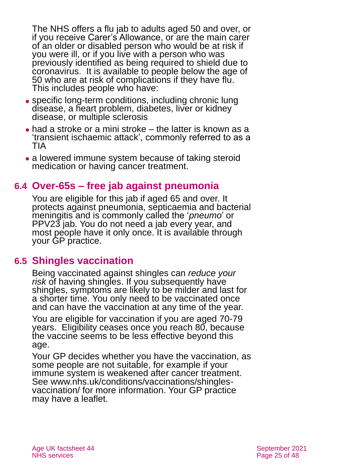The NHS offers a flu jab to adults aged 50 and over, or if you receive Carer's Allowance, or are the main carer of an older or disabled person who would be at risk if you were ill, or if you live with a person who was previously identified as being required to shield due to coronavirus. It is available to people below the age of 50 who are at risk of complications if they have flu. This includes people who have:

- ⚫ specific long-term conditions, including chronic lung disease, a heart problem, diabetes, liver or kidney disease, or multiple sclerosis
- had a stroke or a mini stroke the latter is known as a 'transient ischaemic attack', commonly referred to as a TIA
- a lowered immune system because of taking steroid medication or having cancer treatment.

### **6.4 Over-65s – free jab against pneumonia**

You are eligible for this jab if aged 65 and over. It protects against pneumonia, septicaemia and bacterial meningitis and is commonly called the '*[pneumo](https://www.nhs.uk/conditions/vaccinations/pneumococcal-vaccination/)*' or [PPV23 jab.](https://www.nhs.uk/conditions/vaccinations/pneumococcal-vaccination/) You do not need a jab every year, and most people have it only once. It is available through your GP practice.

#### **6.5 Shingles vaccination**

Being vaccinated against shingles can *reduce your*  risk of having shingles. If you subsequently have shingles, symptoms are likely to be milder and last for a shorter time. You only need to be vaccinated once and can have the vaccination at any time of the year.

You are eligible for vaccination if you are aged 70-79 years. Eligibility ceases once you reach 80, because the vaccine seems to be less effective beyond this age.

Your GP decides whether you have the vaccination, as some people are not suitable, for example if your immune system is weakened after cancer treatment. See [www.nhs.uk/conditions/vaccinations/shingles](http://www.nhs.uk/conditions/vaccinations/shingles-vaccination/)[vaccination/](http://www.nhs.uk/conditions/vaccinations/shingles-vaccination/) for more information. Your GP practice may have [a leaflet.](https://www.gov.uk/government/publications/shingles-vaccination-for-adults-aged-70-or-79-years-of-age-a5-leaflet)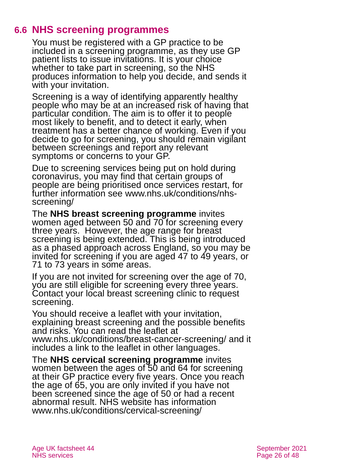### **6.6 NHS screening programmes**

You must be registered with a GP practice to be included in a screening programme, as they use GP patient lists to issue invitations. It is your choice whether to take part in screening, so the NHS produces information to help you decide, and sends it with your invitation.

Screening is a way of identifying apparently healthy people who may be at an increased risk of having that particular condition. The aim is to offer it to people most likely to benefit, and to detect it early, when treatment has a better chance of working. Even if you decide to go for screening, you should remain vigilant between screenings and report any relevant symptoms or concerns to your GP.

Due to screening services being put on hold during coronavirus, you may find that certain groups of people are being prioritised once services restart, for further information see [www.nhs.uk/conditions/nhs](http://www.nhs.uk/conditions/nhs-screening/)[screening/](http://www.nhs.uk/conditions/nhs-screening/)

The **[NHS breast screening programme](https://www.nhs.uk/conditions/breast-cancer-screening/)** invites women aged between 50 and 70 for screening every three years. However, the age range for breast screening is being extended. This is being introduced as a phased approach across England, so you may be invited for screening if you are aged 47 to 49 years, or 71 to 73 years in some areas.

If you are not invited for screening over the age of 70, you are still eligible for screening every three years. Contact your local breast screening clinic to request screening.

You should receive a leaflet with your invitation, explaining breast screening and the possible benefits and risks. You can read the leaflet at [www.nhs.uk/conditions/breast-cancer-screening/](https://www.nhs.uk/conditions/breast-cancer-screening/) and it includes a link [to the leaflet in other languages.](https://www.gov.uk/government/publications/breast-screening-helping-women-decide)

The **NHS cervical screening programme** invites women between the ages of 50 and 64 for screening at their GP practice every five years. Once you reach the age of 65, you are only invited if you have not been screened since the age of 50 or had a recent abnormal result. NHS website has information [www.nhs.uk/conditions/cervical-screening/](http://www.nhs.uk/conditions/cervical-screening/)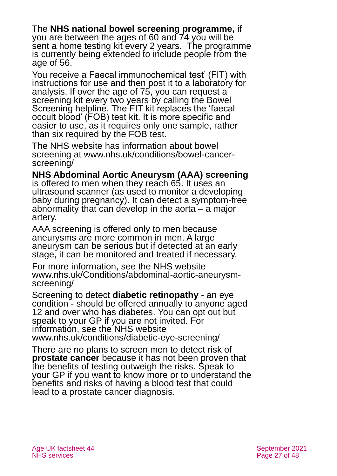The **NHS national bowel screening programme,** if you are between the ages of 60 and 74 you will be sent a home testing kit every 2 years. The programme is currently being extended to include people from the age of 56.

You receive a Faecal immunochemical test' (FIT) with instructions for use and then post it to a laboratory for analysis. If over the age of 75, you can request a screening kit every two years by calling the Bowel Screening helpline. The FIT kit replaces the 'faecal occult blood' (FOB) test kit. It is more specific and easier to use, as it requires only one sample, rather than six required by the FOB test.

The NHS website has information about bowel screening at [www.nhs.uk/conditions/bowel-cancer](http://www.nhs.uk/conditions/bowel-cancer-screening/)[screening/](http://www.nhs.uk/conditions/bowel-cancer-screening/)

**NHS Abdominal Aortic Aneurysm (AAA) screening**

is offered to men when they reach 65. It uses an ultrasound scanner (as used to monitor a developing baby during pregnancy). It can detect a symptom-free abnormality that can develop in the aorta – a major artery.

AAA screening is offered only to men because aneurysms are more common in men. A large aneurysm can be serious but if detected at an early stage, it can be monitored and treated if necessary.

For more information, see the NHS website [www.nhs.uk/Conditions/abdominal-aortic-aneurysm](http://www.nhs.uk/Conditions/abdominal-aortic-aneurysm-screening/)[screening/](http://www.nhs.uk/Conditions/abdominal-aortic-aneurysm-screening/)

Screening to detect **diabetic retinopathy** - an eye condition - should be offered annually to anyone aged 12 and over who has diabetes. You can opt out but speak to your GP if you are not invited. For information, see the NHS website [www.nhs.uk/conditions/diabetic-eye-screening/](http://www.nhs.uk/conditions/diabetic-eye-screening/)

There are no plans to screen men to detect risk of **prostate cancer** because it has not been proven that the benefits of testing outweigh the risks. Speak to your GP if you want to know more or to understand the benefits and risks of having a blood test that could lead to a prostate cancer diagnosis.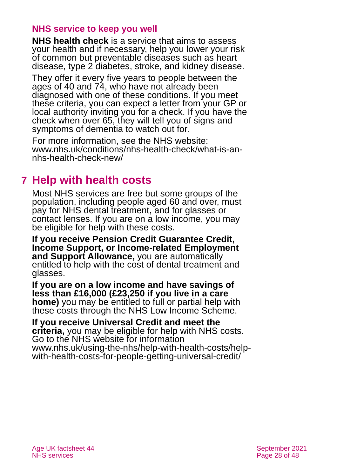#### **NHS service to keep you well**

**NHS health check** is a service that aims to assess your health and if necessary, help you lower your risk of common but preventable diseases such as heart disease, type 2 diabetes, stroke, and kidney disease.

They offer it every five years to people between the ages of 40 and 74, who have not already been diagnosed with one of these conditions. If you meet these criteria, you can expect a letter from your GP or local authority inviting you for a check. If you have the check when over 65, they will tell you of signs and symptoms of dementia to watch out for.

For more information, see the NHS website: [www.nhs.uk/conditions/nhs-health-check/what-is-an](http://www.nhs.uk/conditions/nhs-health-check/what-is-an-nhs-health-check-new/)[nhs-health-check-new/](http://www.nhs.uk/conditions/nhs-health-check/what-is-an-nhs-health-check-new/)

### <span id="page-27-0"></span>**7 Help with health costs**

Most NHS services are free but some groups of the population, including people aged 60 and over, must pay for NHS dental treatment, and for glasses or contact lenses. If you are on a low income, you may be eligible for help with these costs.

**If you receive Pension Credit Guarantee Credit, Income Support, or Income-related Employment and Support Allowance,** you are automatically entitled to help with the cost of dental treatment and glasses.

**If you are on a low income and have savings of less than £16,000 (£23,250 if you live in a care home)** you may be entitled to full or partial help with these costs through the NHS Low Income Scheme.

**If you receive Universal Credit and meet the criteria,** you may be eligible for help with NHS costs. Go to the NHS website for information [www.nhs.uk/using-the-nhs/help-with-health-costs/help](http://www.nhs.uk/using-the-nhs/help-with-health-costs/help-with-health-costs-for-people-getting-universal-credit/)[with-health-costs-for-people-getting-universal-credit/](http://www.nhs.uk/using-the-nhs/help-with-health-costs/help-with-health-costs-for-people-getting-universal-credit/)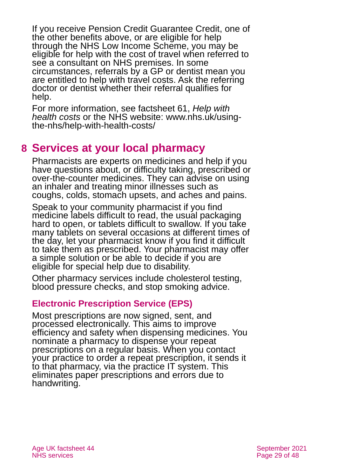If you receive Pension Credit Guarantee Credit, one of the other benefits above, or are eligible for help through the NHS Low Income Scheme, you may be eligible for help with the cost of travel when referred to see a consultant on NHS premises. In some circumstances, referrals by a GP or dentist mean you are entitled to help with travel costs. Ask the referring doctor or dentist whether their referral qualifies for help.

For more information, see factsheet 61, *[Help with](https://www.ageuk.org.uk/globalassets/age-uk/documents/factsheets/fs61_help_with_health_costs_fcs.pdf)  [health costs](https://www.ageuk.org.uk/globalassets/age-uk/documents/factsheets/fs61_help_with_health_costs_fcs.pdf)* or the NHS website: [www.nhs.uk/using](http://www.nhs.uk/using-the-nhs/help-with-health-costs/)[the-nhs/help-with-health-costs/](http://www.nhs.uk/using-the-nhs/help-with-health-costs/)

# <span id="page-28-0"></span>**8 Services at your local pharmacy**

Pharmacists are experts on medicines and help if you have questions about, or difficulty taking, prescribed or over-the-counter medicines. They can advise on using an inhaler and treating minor illnesses such as coughs, colds, stomach upsets, and aches and pains.

Speak to your community pharmacist if you find medicine labels difficult to read, the usual packaging hard to open, or tablets difficult to swallow. If you take many tablets on several occasions at different times of the day, let your pharmacist know if you find it difficult to take them as prescribed. Your pharmacist may offer a simple solution or be able to decide if you are eligible for special help due to disability.

Other pharmacy services include cholesterol testing, blood pressure checks, and stop smoking advice.

#### **Electronic Prescription Service (EPS)**

Most prescriptions are now signed, sent, and processed electronically. This aims to improve efficiency and safety when dispensing medicines. You nominate a pharmacy to dispense your repeat prescriptions on a regular basis. When you contact your practice to order a repeat prescription, it sends it to that pharmacy, via the practice IT system. This eliminates paper prescriptions and errors due to handwriting.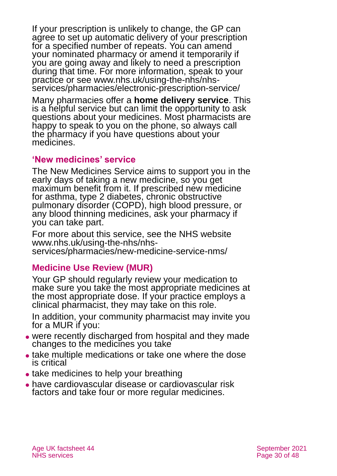If your prescription is unlikely to change, the GP can agree to set up automatic delivery of your prescription for a specified number of repeats. You can amend your nominated pharmacy or amend it temporarily if you are going away and likely to need a prescription during that time. For more information, speak to your practice or see [www.nhs.uk/using-the-nhs/nhs](http://www.nhs.uk/using-the-nhs/nhs-services/pharmacies/electronic-prescription-service/)[services/pharmacies/electronic-prescription-service/](http://www.nhs.uk/using-the-nhs/nhs-services/pharmacies/electronic-prescription-service/)

Many pharmacies offer a **home delivery service**. This is a helpful service but can limit the opportunity to ask questions about your medicines. Most pharmacists are happy to speak to you on the phone, so always call the pharmacy if you have questions about your medicines.

#### **'New medicines' service**

The New Medicines Service aims to support you in the early days of taking a new medicine, so you get maximum benefit from it. If prescribed new medicine for asthma, type 2 diabetes, chronic obstructive pulmonary disorder (COPD), high blood pressure, or any blood thinning medicines, ask your pharmacy if you can take part.

For more about this service, see the NHS website [www.nhs.uk/using-the-nhs/nhs](http://www.nhs.uk/using-the-nhs/nhs-services/pharmacies/new-medicine-service-nms/)[services/pharmacies/new-medicine-service-nms/](http://www.nhs.uk/using-the-nhs/nhs-services/pharmacies/new-medicine-service-nms/)

#### **Medicine Use Review (MUR)**

Your GP should regularly review your medication to make sure you take the most appropriate medicines at the most appropriate dose. If your practice employs a clinical pharmacist, they may take on this role.

In addition, your community pharmacist may invite you for a MUR if you:

- ⚫ were recently discharged from hospital and they made changes to the medicines you take
- ⚫ take multiple medications or take one where the dose is critical
- take medicines to help your breathing
- ⚫ have cardiovascular disease or cardiovascular risk factors and take four or more regular medicines.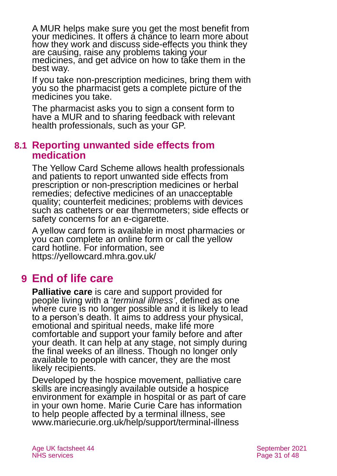A MUR helps make sure you get the most benefit from your medicines. It offers a chance to learn more about how they work and discuss side-effects you think they are causing, raise any problems taking your medicines, and get advice on how to take them in the best way.

If you take non-prescription medicines, bring them with you so the pharmacist gets a complete picture of the medicines you take.

The pharmacist asks you to sign a consent form to have a MUR and to sharing feedback with relevant health professionals, such as your GP.

#### **8.1 Reporting unwanted side effects from medication**

The [Yellow Card Scheme](https://yellowcard.mhra.gov.uk/) allows health professionals and patients to report unwanted side effects from prescription or non-prescription medicines or herbal remedies; defective medicines of an unacceptable quality; counterfeit medicines; problems with devices such as catheters or ear thermometers; side effects or safety concerns for an e-cigarette.

A yellow card form is available in most pharmacies or you can complete an online form or call the yellow card hotline. For information, see <https://yellowcard.mhra.gov.uk/>

# <span id="page-30-0"></span>**9 End of life care**

**Palliative care** is care and support provided for people living with a '*terminal illness'*, defined as one where cure is no longer possible and it is likely to lead to a person's death. It aims to address your physical, emotional and spiritual needs, make life more comfortable and support your family before and after your death. It can help at any stage, not simply during the final weeks of an illness. Though no longer only available to people with cancer, they are the most likely recipients.

Developed by the hospice movement, palliative care skills are increasingly available outside a hospice environment for example in hospital or as part of care in your own home. Marie Curie Care has information to help people affected by a terminal illness, see [www.mariecurie.org.uk/help/support/terminal-illness](http://www.mariecurie.org.uk/help/support/terminal-illness)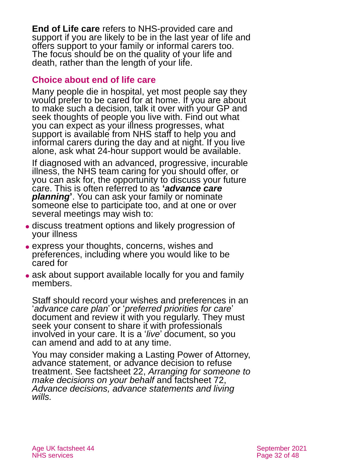**End of Life care** refers to NHS-provided care and support if you are likely to be in the last year of life and offers support to your family or informal carers too. The focus should be on the quality of your life and death, rather than the length of your life.

#### **Choice about end of life care**

Many people die in hospital, yet most people say they would prefer to be cared for at home. If you are about to make such a decision, talk it over with your GP and seek thoughts of people you live with. Find out what you can expect as your illness progresses, what support is available from NHS staff to help you and informal carers during the day and at night. If you live alone, ask what 24-hour support would be available.

If diagnosed with an advanced, progressive, incurable illness, the NHS team caring for you should offer, or you can ask for, the opportunity to discuss your future care. This is often referred to as **'***advance care planning***'**. You can ask your family or nominate someone else to participate too, and at one or over several meetings may wish to:

- ⚫ discuss treatment options and likely progression of your illness
- ⚫ express your thoughts, concerns, wishes and preferences, including where you would like to be cared for
- ask about support available locally for you and family members.

Staff should record your wishes and preferences in an '*advance care plan*' or '*preferred priorities for care*' document and review it with you regularly. They must seek your consent to share it with professionals involved in your care. It is a '*live*' document, so you can amend and add to at any time.

You may consider making a Lasting Power of Attorney, advance statement, or advance decision to refuse treatment. See factsheet 22, *[Arranging for someone to](https://www.ageuk.org.uk/globalassets/age-uk/documents/factsheets/fs22_arranging_for_someone_to_make_decisions_on_your_behalf_fcs.pdf)  [make decisions on your behalf](https://www.ageuk.org.uk/globalassets/age-uk/documents/factsheets/fs22_arranging_for_someone_to_make_decisions_on_your_behalf_fcs.pdf)* and factsheet 72, *[Advance decisions, advance statements and living](https://www.ageuk.org.uk/globalassets/age-uk/documents/factsheets/fs72_advance_decisions_advance_statements_and_living_wills_fcs.pdf)  [wills.](https://www.ageuk.org.uk/globalassets/age-uk/documents/factsheets/fs72_advance_decisions_advance_statements_and_living_wills_fcs.pdf)*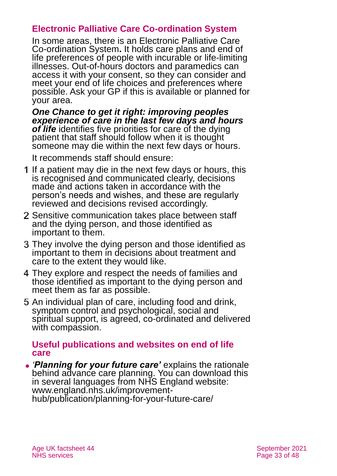#### **Electronic Palliative Care Co-ordination System**

In some areas, there is an Electronic Palliative Care Co-ordination System**.** It holds care plans and end of life preferences of people with incurable or life-limiting illnesses. Out-of-hours doctors and paramedics can access it with your consent, so they can consider and meet your end of life choices and preferences where possible. Ask your GP if this is available or planned for your area.

*[One Chance to get it right: improving peoples](https://www.gov.uk/government/publications/liverpool-care-pathway-review-response-to-recommendations)  [experience of care in the last few days and hours](https://www.gov.uk/government/publications/liverpool-care-pathway-review-response-to-recommendations)  [of life](https://www.gov.uk/government/publications/liverpool-care-pathway-review-response-to-recommendations)* identifies five priorities for care of the dying patient that staff should follow when it is thought someone may die within the next few days or hours.

It recommends staff should ensure:

- If a patient may die in the next few days or hours, this is recognised and communicated clearly, decisions made and actions taken in accordance with the person's needs and wishes, and these are regularly reviewed and decisions revised accordingly.
- 2 Sensitive communication takes place between staff and the dying person, and those identified as important to them.
- They involve the dying person and those identified as important to them in decisions about treatment and care to the extent they would like.
- They explore and respect the needs of families and those identified as important to the dying person and meet them as far as possible.
- 5 An individual plan of care, including food and drink, symptom control and psychological, social and spiritual support, is agreed, co-ordinated and delivered with compassion.

#### **Useful publications and websites on end of life care**

⚫ *'Planning for your future care'* explains the rationale behind advance care planning. You can download this in several languages from NHS England website: [www.england.nhs.uk/improvement](http://www.england.nhs.uk/improvement-hub/publication/planning-for-your-future-care/)[hub/publication/planning-for-your-future-care/](http://www.england.nhs.uk/improvement-hub/publication/planning-for-your-future-care/)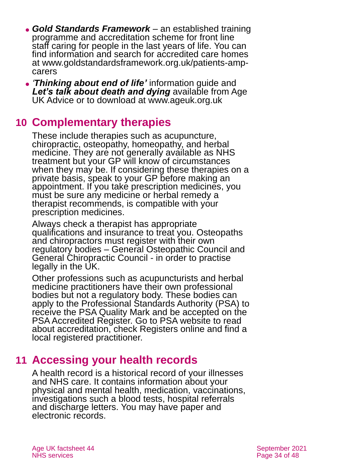- ⚫ *Gold Standards Framework* an established training programme and accreditation scheme for front line staff caring for people in the last years of life. You can find information and search for accredited care homes at [www.goldstandardsframework.org.uk/patients-amp](http://www.goldstandardsframework.org.uk/patients-amp-carers)[carers](http://www.goldstandardsframework.org.uk/patients-amp-carers)
- ⚫ *'[Thinking about end of life'](https://www.ageuk.org.uk/globalassets/age-uk/documents/information-guides/ageukig51_thinking_about_end_of_life_inf.pdf)* information guide and [Let's talk about death and dying](https://www.ageuk.org.uk/information-advice/health-wellbeing/relationships-family/end-of-life-issues/talking-death-dying/) available from Age UK Advice or [to download](https://www.ageuk.org.uk/services/information-advice/guides-and-factsheets/) at [www.ageuk.org.uk](http://www.ageuk.org.uk/)

### <span id="page-33-0"></span>**10 Complementary therapies**

These include therapies such as acupuncture, chiropractic, osteopathy, homeopathy, and herbal medicine. They are not generally available as NHS treatment but your GP will know of circumstances when they may be. If considering these therapies on a private basis, speak to your GP before making an appointment. If you take prescription medicines, you must be sure any medicine or herbal remedy a therapist recommends, is compatible with your prescription medicines.

Always check a therapist has appropriate qualifications and insurance to treat you. Osteopaths and chiropractors must register with their own regulatory bodies – General Osteopathic Council and General Chiropractic Council - in order to practise legally in the UK.

Other professions such as acupuncturists and herbal medicine practitioners have their own professional bodies but not a regulatory body. These bodies can apply to the [Professional Standards Authority](https://www.professionalstandards.org.uk/home) (PSA) to receive the PSA Quality Mark and be accepted on the PSA Accredited Register. [Go to PSA website](https://www.professionalstandards.org.uk/home) to read about accreditation, check Registers online and find a local registered practitioner.

### <span id="page-33-1"></span>**11 Accessing your health records**

A health record is a historical record of your illnesses and NHS care. It contains information about your physical and mental health, medication, vaccinations, investigations such a blood tests, hospital referrals and discharge letters. You may have paper and electronic records.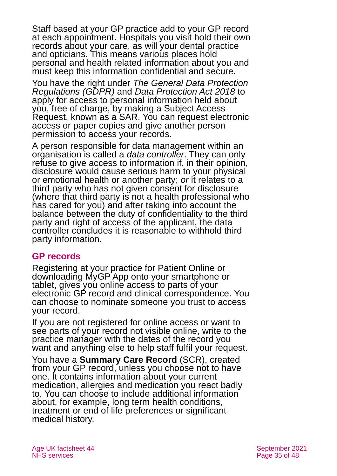Staff based at your GP practice add to your GP record at each appointment. Hospitals you visit hold their own records about your care, as will your dental practice and opticians. This means various places hold personal and health related information about you and must keep this information confidential and secure.

You have the right under *The General Data Protection Regulations (GDPR)* and *Data Protection Act 2018* to apply for access to personal information held about you, free of charge, by making a Subject Access Request, known as a SAR. You can request electronic access or paper copies and give another person permission to access your records.

A person responsible for data management within an organisation is called a *data controller*. They can only refuse to give access to information if, in their opinion, disclosure would cause serious harm to your physical or emotional health or another party; *or* it relates to a third party who has not given consent for disclosure (where that third party is not a health professional who has cared for you) and after taking into account the balance between the duty of confidentiality to the third party and right of access of the applicant, the data controller concludes it is reasonable to withhold third party information.

#### **GP records**

Registering at your practice for Patient Online or downloading MyGP App onto your smartphone or tablet, gives you [online access to parts of your](https://www.nhs.uk/using-the-nhs/about-the-nhs/your-health-records/) electronic [GP record](https://www.nhs.uk/using-the-nhs/about-the-nhs/your-health-records/) and clinical correspondence. You can choose to nominate someone you trust to access your record.

If you are not registered for online access or want to see parts of your record not visible online, write to the practice manager with the dates of the record you want and anything else to help staff fulfil your request.

You have a **Summary Care Record** (SCR), created from your GP record, unless you choose not to have one. It contains information about your current medication, allergies and medication you react badly to. You can choose to include additional information about, for example, long term health conditions, treatment or end of life preferences or significant medical history.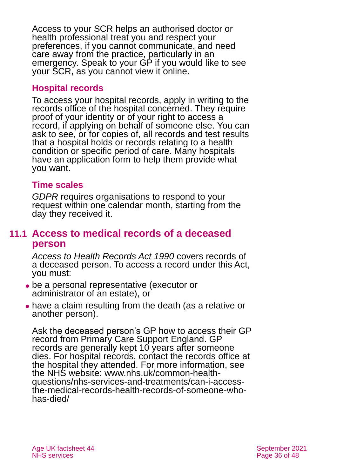Access to your SCR helps an authorised doctor or health professional treat you and respect your preferences, if you cannot communicate, and need care away from the practice, particularly in an emergency. Speak to your GP if you would like to see your SCR, as you cannot view it online.

#### **Hospital records**

To access your hospital records, apply in writing to the records office of the hospital concerned. They require proof of your identity or of your right to access a record, if applying on behalf of someone else. You can ask to see, or for copies of, all records and test results that a hospital holds or records relating to a health condition or specific period of care. Many hospitals have an application form to help them provide what you want.

#### **Time scales**

*GDPR* requires organisations to respond to your request within one calendar month, starting from the day they received it.

#### **11.1 Access to medical records of a deceased person**

*[Access to Health Records Act 1990](https://www.legislation.gov.uk/ukpga/1990/23/contents)* covers records of a deceased person. To access a record under this Act, you must:

- ⚫ be a personal representative (executor or administrator of an estate), or
- ⚫ have a claim resulting from the death (as a relative or another person).

Ask the deceased person's GP how to access their GP record from Primary Care Support England. GP records are generally kept 10 years after someone dies. For hospital records, contact the records office at the hospital they attended. For more information, see the NHS website: [www.nhs.uk/common-health](http://www.nhs.uk/common-health-questions/nhs-services-and-treatments/can-i-access-the-medical-records-health-records-of-someone-who-has-died/)[questions/nhs-services-and-treatments/can-i-access](http://www.nhs.uk/common-health-questions/nhs-services-and-treatments/can-i-access-the-medical-records-health-records-of-someone-who-has-died/)[the-medical-records-health-records-of-someone-who](http://www.nhs.uk/common-health-questions/nhs-services-and-treatments/can-i-access-the-medical-records-health-records-of-someone-who-has-died/)[has-died/](http://www.nhs.uk/common-health-questions/nhs-services-and-treatments/can-i-access-the-medical-records-health-records-of-someone-who-has-died/)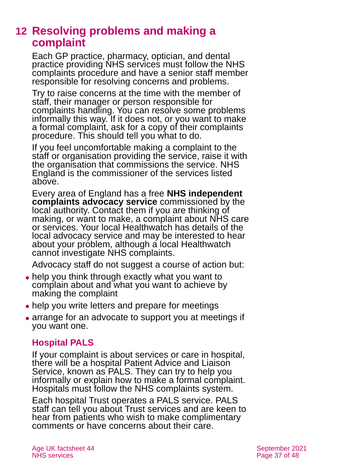### <span id="page-36-0"></span>**12 Resolving problems and making a complaint**

Each GP practice, pharmacy, optician, and dental practice providing NHS services must follow the NHS complaints procedure and have a senior staff member responsible for resolving concerns and problems.

Try to raise concerns at the time with the member of staff, their manager or person responsible for complaints handling. You can resolve some problems informally this way. If it does not, or you want to make a formal complaint, ask for a copy of their complaints procedure. This should tell you what to do.

If you feel uncomfortable making a complaint to the staff or organisation providing the service, raise it with the organisation that commissions the service. NHS England is the commissioner of the services listed above.

Every area of England has a free **NHS independent complaints advocacy service** commissioned by the local authority. Contact them if you are thinking of making, or want to make, a complaint about NHS care or services. Your local Healthwatch has details of the local advocacy service and may be interested to hear about your problem, although a local Healthwatch cannot investigate NHS complaints.

Advocacy staff do not suggest a course of action but:

- help you think through exactly what you want to complain about and what you want to achieve by making the complaint
- help you write letters and prepare for meetings
- arrange for an advocate to support you at meetings if you want one.

#### **Hospital PALS**

If your complaint is about services or care in hospital, there will be a hospital Patient Advice and Liaison Service, known as PALS. They can try to help you informally or explain how to make a formal complaint. Hospitals must follow the NHS complaints system.

Each hospital Trust operates a PALS service. PALS staff can tell you about Trust services and are keen to hear from patients who wish to make complimentary comments or have concerns about their care.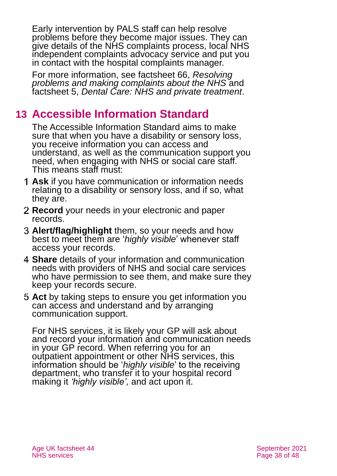Early intervention by PALS staff can help resolve problems before they become major issues. They can give details of the NHS complaints process, local NHS independent complaints advocacy service and put you in contact with the hospital complaints manager.

For more information, see factsheet 66, *[Resolving](https://www.ageuk.org.uk/globalassets/age-uk/documents/factsheets/fs66_resolving_problems_and_making_a_complaint_about_nhs_care_fcs.pdf)  [problems and making complaints about the NHS](https://www.ageuk.org.uk/globalassets/age-uk/documents/factsheets/fs66_resolving_problems_and_making_a_complaint_about_nhs_care_fcs.pdf)* and factsheet 5, *[Dental Care: NHS and private treatment](https://www.ageuk.org.uk/globalassets/age-uk/documents/factsheets/fs5_dental_care_nhs_and_private_treatment_fcs.pdf)*.

## <span id="page-37-0"></span>**13 Accessible Information Standard**

The [Accessible Information Standard](https://www.england.nhs.uk/publication/accessible-information-standard-overview-20172018/) aims to make sure that when you have a disability or sensory loss, you receive information you can access and understand, as well as the communication support you need, when engaging with NHS or social care staff. This means staff must:

- **Ask** if you have communication or information needs relating to a disability or sensory loss, and if so, what they are.
- **Record** your needs in your electronic and paper records.
- **Alert/flag/highlight** them, so your needs and how best to meet them are '*highly visible*' whenever staff access your records.
- **Share** details of your information and communication needs with providers of NHS and social care services who have permission to see them, and make sure they keep your records secure.
- **Act** by taking steps to ensure you get information you can access and understand and by arranging communication support.

For NHS services, it is likely your GP will ask about and record your information and communication needs in your GP record. When referring you for an outpatient appointment or other NHS services, this information should be '*highly visible*' to the receiving department, who transfer it to your hospital record making it *'highly visible',* and act upon it.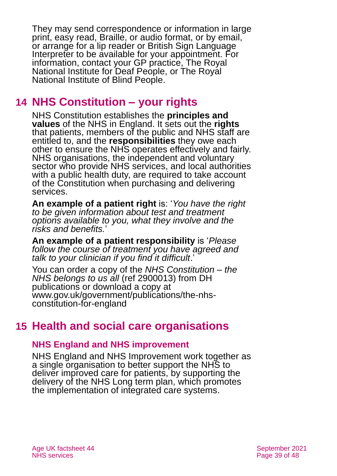They may send correspondence or information in large print, easy read, Braille, or audio format, or by email, or arrange for a lip reader or British Sign Language Interpreter to be available for your appointment. For information, contact your GP practice, [The Royal](http://www.rnid.org.uk/)  [National Institute for Deaf People,](http://www.rnid.org.uk/) or [The Royal](http://www.rnib.org.uk/)  [National Institute of Blind People.](http://www.rnib.org.uk/)

### <span id="page-38-0"></span>**14 NHS Constitution – your rights**

NHS Constitution establishes the **principles and values** of the NHS in England. It sets out the **rights**  that patients, members of the public and NHS staff are entitled to, and the **responsibilities** they owe each other to ensure the NHS operates effectively and fairly. NHS organisations, the independent and voluntary sector who provide NHS services, and local authorities with a public health duty, are required to take account of the Constitution when purchasing and delivering services.

**An example of a patient right** is: '*You have the right to be given information about test and treatment options available to you, what they involve and the risks and benefits.*'

**An example of a patient responsibility** is '*Please follow the course of treatment you have agreed and talk to your clinician if you find it difficult*.'

You can order a copy of the *[NHS Constitution –](https://www.gov.uk/government/publications/the-nhs-constitution-for-england) the [NHS belongs to us all](https://www.gov.uk/government/publications/the-nhs-constitution-for-england)* (ref 2900013) from DH publications or download a copy at [www.gov.uk/government/publications/the-nhs](http://www.gov.uk/government/publications/the-nhs-constitution-for-england)[constitution-for-england](http://www.gov.uk/government/publications/the-nhs-constitution-for-england)

## <span id="page-38-1"></span>**15 Health and social care organisations**

#### **NHS England and NHS improvement**

NHS England and NHS Improvement work together as a single organisation to better support the NHS to deliver improved care for patients, by supporting the delivery of the [NHS Long term plan, which promotes](https://www.longtermplan.nhs.uk/)  [the implementation of integrated care systems.](https://www.longtermplan.nhs.uk/)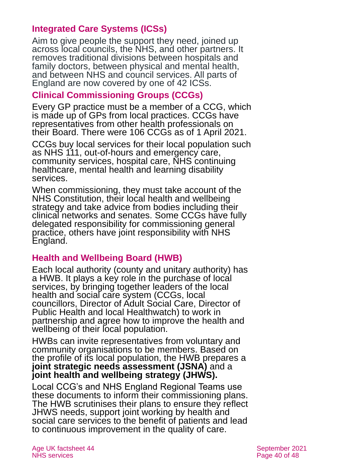#### **Integrated Care Systems (ICSs)**

Aim to give people the support they need, joined up across local councils, the NHS, and other partners. It removes traditional divisions between hospitals and family doctors, between physical and mental health, and between NHS and council services. All parts of England are now covered by one of 42 ICSs.

#### **Clinical Commissioning Groups (CCGs)**

Every GP practice must be a member of a CCG, which is made up of GPs from local practices. CCGs have representatives from other health professionals on their Board. There were 106 CCGs as of 1 April 2021.

CCGs buy local services for their local population such as NHS 111, out-of-hours and emergency care, community services, hospital care, NHS continuing healthcare, mental health and learning disability services.

When commissioning, they must take account of the NHS Constitution, their local health and wellbeing strategy and take advice from bodies including their clinical networks and senates. Some CCGs have fully delegated responsibility for commissioning general practice, others have joint responsibility with NHS England.

#### **Health and Wellbeing Board (HWB)**

Each local authority (county and unitary authority) has a HWB. It plays a key role in the purchase of local services, by bringing together leaders of the local health and social care system (CCGs, local councillors, Director of Adult Social Care, Director of Public Health and local Healthwatch) to work in partnership and agree how to improve the health and wellbeing of their local population.

HWBs can invite representatives from voluntary and community organisations to be members. Based on the profile of its local population, the HWB prepares a **joint strategic needs assessment (JSNA)** and a **joint health and wellbeing strategy (JHWS).**

Local CCG's and NHS England Regional Teams use these documents to inform their commissioning plans. The HWB scrutinises their plans to ensure they reflect JHWS needs, support joint working by health and social care services to the benefit of patients and lead to continuous improvement in the quality of care.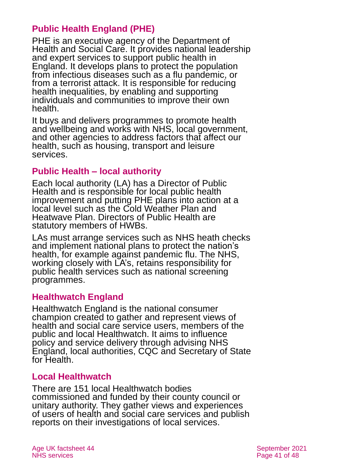#### **Public Health England (PHE)**

PHE is an executive agency of the Department of Health and Social Care. It provides national leadership and expert services to support public health in England. It develops plans to protect the population from infectious diseases such as a flu pandemic, or from a terrorist attack. It is responsible for reducing health inequalities, by enabling and supporting individuals and communities to improve their own health.

It buys and delivers programmes to promote health and wellbeing and works with NHS, local government, and other agencies to address factors that affect our health, such as housing, transport and leisure services.

#### **Public Health – local authority**

Each local authority (LA) has a Director of Public Health and is responsible for local public health improvement and putting PHE plans into action at a local level such as the Cold Weather Plan and Heatwave Plan. Directors of Public Health are statutory members of HWBs.

LAs must arrange services such as NHS heath checks and implement national plans to protect the nation's health, for example against pandemic flu. The NHS, working closely with LA's, retains responsibility for public health services such as national screening programmes.

#### **Healthwatch England**

Healthwatch England is the national consumer champion created to gather and represent views of health and social care service users, members of the public and local Healthwatch. It aims to influence policy and service delivery through advising NHS England, local authorities, CQC and Secretary of State for Health.

#### **Local Healthwatch**

There are 151 local Healthwatch bodies commissioned and funded by their county council or unitary authority. They gather views and experiences of users of health and social care services and publish reports on their investigations of local services.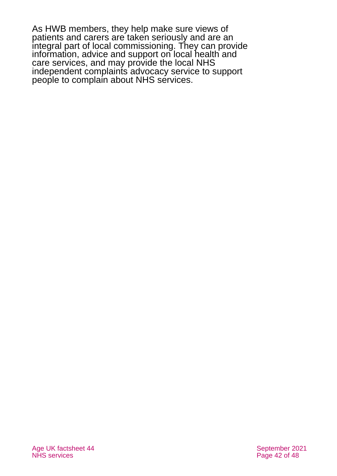As HWB members, they help make sure views of patients and carers are taken seriously and are an integral part of local commissioning. They can provide information, advice and support on local health and care services, and may provide the local NHS independent complaints advocacy service to support people to complain about NHS services.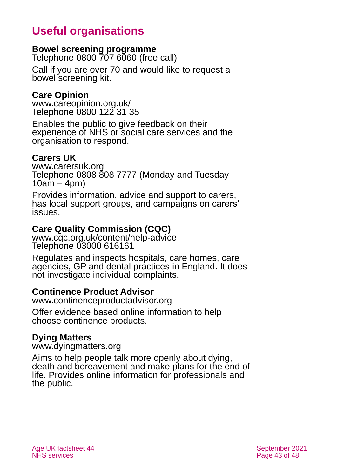# **Useful organisations**

#### <span id="page-42-0"></span>**Bowel screening programme**

Telephone 0800 707 6060 (free call)

Call if you are over 70 and would like to request a bowel screening kit.

#### **Care Opinion**

[www.careopinion.org.uk/](http://www.careopinion.org.uk/) Telephone 0800 122 31 35

Enables the public to give feedback on their experience of NHS or social care services and the organisation to respond.

#### **Carers UK**

[www.carersuk.org](http://www.carersuk.org/) Telephone 0808 808 7777 (Monday and Tuesday 10am – 4pm)

Provides information, advice and support to carers, has local support groups, and campaigns on carers' issues.

#### **Care Quality Commission (CQC)**

[www.cqc.org.uk/content/help-advice](http://www.cqc.org.uk/content/help-advice) Telephone 03000 616161

Regulates and inspects hospitals, care homes, care agencies, GP and dental practices in England. It does not investigate individual complaints.

#### **Continence Product Advisor**

[www.continenceproductadvisor.org](http://www.continenceproductadvisor.org/)

Offer evidence based online information to help choose continence products.

#### **Dying Matters**

[www.dyingmatters.org](http://www.dyingmatters.org/)

Aims to help people talk more openly about dying, death and bereavement and make plans for the end of life. Provides online information for professionals and the public.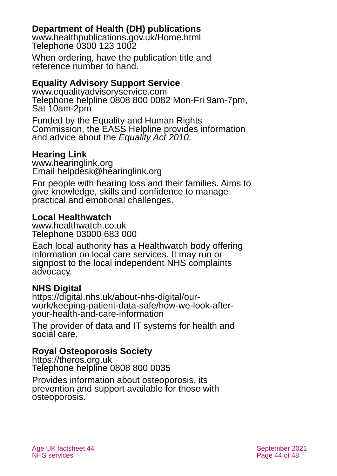#### **Department of Health (DH) publications**

[www.healthpublications.gov.uk/Home.html](http://www.healthpublications.gov.uk/Home.html) Telephone 0300 123 1002

When ordering, have the publication title and reference number to hand.

#### **Equality Advisory Support Service**

[www.equalityadvisoryservice.com](http://www.equalityadvisoryservice.com/) Telephone helpline 0808 800 0082 Mon-Fri 9am-7pm, Sat 10am-2pm

Funded by the Equality and Human Rights Commission, the EASS Helpline provides information and advice about the *Equality Act 2010*.

#### **Hearing Link**

[www.hearinglink.org](http://www.hearinglink.org/) Email [helpdesk@hearinglink.org](mailto:helpdesk@hearinglink.org)

For people with hearing loss and their families. Aims to give knowledge, skills and confidence to manage practical and emotional challenges.

#### **Local Healthwatch**

[www.healthwatch.co.uk](http://www.healthwatch.co.uk/) Telephone 03000 683 000

Each local authority has a Healthwatch body offering information on local care services. It may run or signpost to the local independent NHS complaints advocacy.

#### **NHS Digital**

[https://digital.nhs.uk/about-nhs-digital/our](https://digital.nhs.uk/about-nhs-digital/our-work/keeping-patient-data-safe/how-we-look-after-your-health-and-care-information)[work/keeping-patient-data-safe/how-we-look-after](https://digital.nhs.uk/about-nhs-digital/our-work/keeping-patient-data-safe/how-we-look-after-your-health-and-care-information)[your-health-and-care-information](https://digital.nhs.uk/about-nhs-digital/our-work/keeping-patient-data-safe/how-we-look-after-your-health-and-care-information)

The provider of data and IT systems for health and social care.

#### **Royal Osteoporosis Society**

[https://theros.org.uk](https://theros.org.uk/) Telephone helpline 0808 800 0035

Provides information about osteoporosis, its prevention and support available for those with osteoporosis.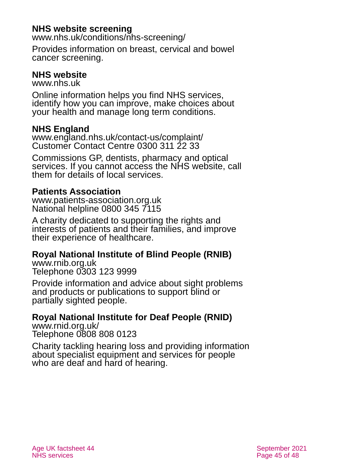#### **NHS website screening**

[www.nhs.uk/conditions/nhs-screening/](https://www.nhs.uk/conditions/nhs-screening/)

Provides information on breast, cervical and bowel cancer screening.

#### **NHS website**

[www.nhs.uk](http://www.nhs.uk/)

Online information helps you find NHS services, identify how you can improve, make choices about your health and manage long term conditions.

#### **NHS England**

[www.england.nhs.uk/contact-us/complaint/](http://www.england.nhs.uk/contact-us/complaint/) Customer Contact Centre 0300 311 22 33

Commissions GP, dentists, pharmacy and optical services. If you cannot access the NHS website, call them for details of local services.

#### **Patients Association**

[www.patients-association.org.uk](http://www.patients-association.org.uk/) National helpline 0800 345 7115

A charity dedicated to supporting the rights and interests of patients and their families, and improve their experience of healthcare.

#### **Royal National Institute of Blind People (RNIB)**

[www.rnib.org.uk](http://www.rnib.org.uk/) Telephone 0303 123 9999

Provide information and advice about sight problems and products or publications to support blind or partially sighted people.

### **Royal National Institute for Deaf People (RNID)**

[www.rnid.org.uk/](http://www.rnid.org.uk/) Telephone 0808 808 0123

Charity tackling hearing loss and providing information about specialist equipment and services for people who are deaf and hard of hearing.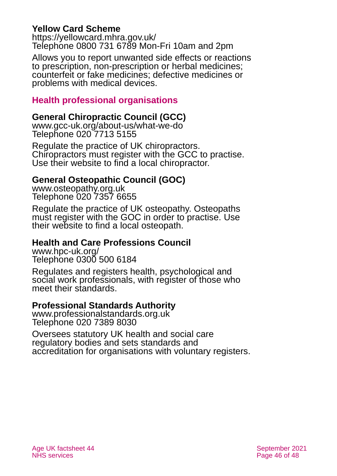#### **Yellow Card Scheme**

<https://yellowcard.mhra.gov.uk/> Telephone 0800 731 6789 Mon-Fri 10am and 2pm

Allows you to report unwanted side effects or reactions to prescription, non-prescription or herbal medicines; counterfeit or fake medicines; defective medicines or problems with medical devices.

#### **Health professional organisations**

#### **General Chiropractic Council (GCC)**

[www.gcc-uk.org/about-us/what-we-do](http://www.gcc-uk.org/about-us/what-we-do) Telephone 020 7713 5155

Regulate the practice of UK chiropractors. Chiropractors must register with the GCC to practise. Use their website to find a local chiropractor.

#### **General Osteopathic Council (GOC)**

[www.osteopathy.org.uk](http://www.osteopathy.org.uk/) Telephone 020 7357 6655

Regulate the practice of UK osteopathy. Osteopaths must register with the GOC in order to practise. Use their website to find a local osteopath.

#### **Health and Care Professions Council**

[www.hpc-uk.org/](http://www.hpc-uk.org/) Telephone 0300 500 6184

Regulates and registers health, psychological and social work professionals, with register of those who meet their standards.

#### **Professional Standards Authority**

[www.professionalstandards.org.uk](http://www.professionalstandards.org.uk/) Telephone 020 7389 8030

Oversees statutory UK health and social care regulatory bodies and sets standards and accreditation for organisations with voluntary registers.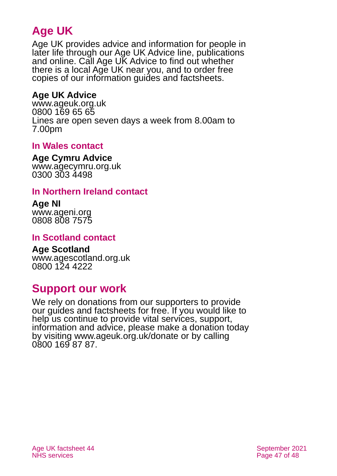# **Age UK**

Age UK provides advice and information for people in later life through our Age UK Advice line, publications and online. Call Age UK Advice to find out whether there is a local Age UK near you, and to order free copies of our information guides and factsheets.

#### <span id="page-46-1"></span>**Age UK Advice**

[www.ageuk.org.uk](http://www.ageuk.org.uk/) 0800 169 65 65 Lines are open seven days a week from 8.00am to 7.00pm

#### <span id="page-46-0"></span>**In Wales contact**

#### **Age Cymru Advice**

[www.agecymru.org.uk](http://www.agecymru.org.uk/) 0300 303 4498

#### **In Northern Ireland contact**

#### **Age NI** [www.ageni.org](http://www.ageni.org/)

0808 808 7575

#### <span id="page-46-2"></span>**In Scotland contact**

# **Age Scotland**

[www.agescotland.org.uk](http://www.agescotland.org.uk/) 0800 124 4222

### **Support our work**

We rely on donations from our supporters to provide our guides and factsheets for free. If you would like to help us continue to provide vital services, support, information and advice, please make a donation today by visiting [www.ageuk.org.uk/donate](http://www.ageuk.org.uk/donate) or by calling 0800 169 87 87.